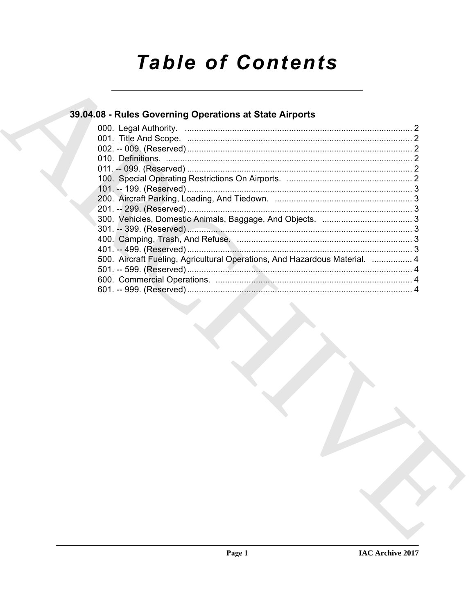# **Table of Contents**

### 39.04.08 - Rules Governing Operations at State Airports

| 500. Aircraft Fueling, Agricultural Operations, And Hazardous Material.  4 |  |
|----------------------------------------------------------------------------|--|
|                                                                            |  |
|                                                                            |  |
|                                                                            |  |
|                                                                            |  |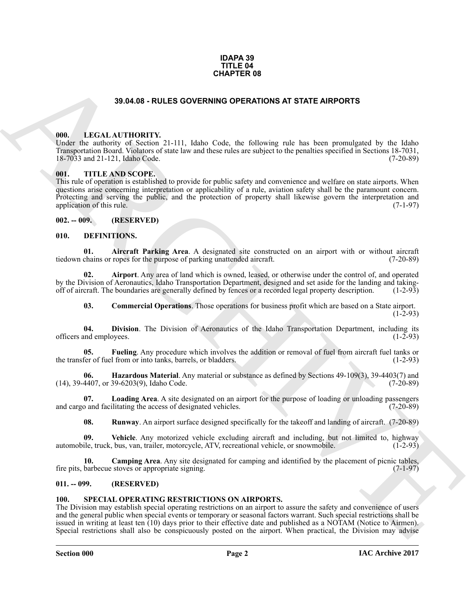#### **IDAPA 39 TITLE 04 CHAPTER 08**

#### **39.04.08 - RULES GOVERNING OPERATIONS AT STATE AIRPORTS**

#### <span id="page-1-1"></span><span id="page-1-0"></span>**000. LEGAL AUTHORITY.**

Under the authority of Section 21-111, Idaho Code, the following rule has been promulgated by the Idaho Transportation Board. Violators of state law and these rules are subject to the penalties specified in Sections 18-7031, 18-7033 and 21-121, Idaho Code.

#### <span id="page-1-2"></span>**001. TITLE AND SCOPE.**

**33.64.05 - RULES GOVERNING OPERATIONS AT STATE AIRPORTS<br>
THE LEGAL ALTIFORITY 21 111, Ideas Cos. Be following rule has been principalized by the Idea<br>
1980-1980-1981 (111 Addission of the following rule has been promoted** This rule of operation is established to provide for public safety and convenience and welfare on state airports. When questions arise concerning interpretation or applicability of a rule, aviation safety shall be the paramount concern. Protecting and serving the public, and the protection of property shall likewise govern the interpretation and application of this rule. (7-1-97) application of this rule.

#### <span id="page-1-3"></span>**002. -- 009. (RESERVED)**

#### <span id="page-1-7"></span><span id="page-1-4"></span>**010. DEFINITIONS.**

<span id="page-1-8"></span>**01. Aircraft Parking Area**. A designated site constructed on an airport with or without aircraft chains or ropes for the purpose of parking unattended aircraft. (7-20-89) tiedown chains or ropes for the purpose of parking unattended aircraft.

**02. Airport**. Any area of land which is owned, leased, or otherwise under the control of, and operated by the Division of Aeronautics, Idaho Transportation Department, designed and set aside for the landing and takingoff of aircraft. The boundaries are generally defined by fences or a recorded legal property description. (1-2-93)

<span id="page-1-13"></span><span id="page-1-12"></span><span id="page-1-11"></span><span id="page-1-9"></span>**03. Commercial Operations**. Those operations for business profit which are based on a State airport.  $(1-2-93)$ 

**04. Division**. The Division of Aeronautics of the Idaho Transportation Department, including its officers and employees.

**05. Fueling**. Any procedure which involves the addition or removal of fuel from aircraft fuel tanks or the transfer of fuel from or into tanks, barrels, or bladders. (1-2-93)

<span id="page-1-14"></span>**06. Hazardous Material**. Any material or substance as defined by Sections 49-109(3), 39-4403(7) and 4407, or 39-6203(9), Idaho Code. (7-20-89) (14), 39-4407, or 39-6203(9), Idaho Code.

**07. Loading Area**. A site designated on an airport for the purpose of loading or unloading passengers and cargo and facilitating the access of designated vehicles. (7-20-89)

<span id="page-1-17"></span><span id="page-1-16"></span><span id="page-1-15"></span><span id="page-1-10"></span>**08. Runway**. An airport surface designed specifically for the takeoff and landing of aircraft. (7-20-89)

**09.** Vehicle. Any motorized vehicle excluding aircraft and including, but not limited to, highway ile. truck, bus, van. trailer, motorcycle. ATV, recreational vehicle, or snowmobile. (1-2-93) automobile, truck, bus, van, trailer, motorcycle, ATV, recreational vehicle, or snowmobile.

**10. Camping Area**. Any site designated for camping and identified by the placement of picnic tables, barbecue stoves or appropriate signing. (7-1-97) fire pits, barbecue stoves or appropriate signing.

#### <span id="page-1-5"></span>**011. -- 099. (RESERVED)**

#### <span id="page-1-18"></span><span id="page-1-6"></span>**100. SPECIAL OPERATING RESTRICTIONS ON AIRPORTS.**

The Division may establish special operating restrictions on an airport to assure the safety and convenience of users and the general public when special events or temporary or seasonal factors warrant. Such special restrictions shall be issued in writing at least ten (10) days prior to their effective date and published as a NOTAM (Notice to Airmen). Special restrictions shall also be conspicuously posted on the airport. When practical, the Division may advise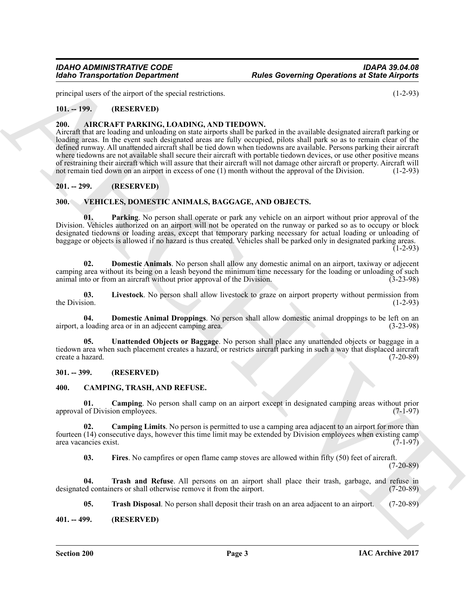principal users of the airport of the special restrictions. (1-2-93)

#### <span id="page-2-0"></span>**101. -- 199. (RESERVED)**

#### <span id="page-2-7"></span><span id="page-2-1"></span>**200. AIRCRAFT PARKING, LOADING, AND TIEDOWN.**

For the state of the state of the state of the state of the state of the state of the state of the state of the state of the state of the state of the state of the state of the state of the state of the state of the state Aircraft that are loading and unloading on state airports shall be parked in the available designated aircraft parking or loading areas. In the event such designated areas are fully occupied, pilots shall park so as to remain clear of the defined runway. All unattended aircraft shall be tied down when tiedowns are available. Persons parking their aircraft where tiedowns are not available shall secure their aircraft with portable tiedown devices, or use other positive means of restraining their aircraft which will assure that their aircraft will not damage other aircraft or property. Aircraft will not remain tied down on an airport in excess of one (1) month without the approval of the Division. (1-2-93)

#### <span id="page-2-2"></span>**201. -- 299. (RESERVED)**

#### <span id="page-2-14"></span><span id="page-2-3"></span>**300. VEHICLES, DOMESTIC ANIMALS, BAGGAGE, AND OBJECTS.**

<span id="page-2-18"></span>**01. Parking**. No person shall operate or park any vehicle on an airport without prior approval of the Division. Vehicles authorized on an airport will not be operated on the runway or parked so as to occupy or block designated tiedowns or loading areas, except that temporary parking necessary for actual loading or unloading of baggage or objects is allowed if no hazard is thus created. Vehicles shall be parked only in designated parking areas.

 $(1-2-93)$ 

<span id="page-2-16"></span>**02. Domestic Animals**. No person shall allow any domestic animal on an airport, taxiway or adjecent camping area without its being on a leash beyond the minimum time necessary for the loading or unloading of such animal into or from an aircraft without prior approval of the Division. (3-23-98)

<span id="page-2-17"></span>**03.** Livestock. No person shall allow livestock to graze on airport property without permission from the Division. (1-2-93) the Division.  $(1-2-93)$ 

<span id="page-2-15"></span>**04. Domestic Animal Droppings**. No person shall allow domestic animal droppings to be left on an loading area or in an adiecent camping area. airport, a loading area or in an adjecent camping area.

<span id="page-2-19"></span>**05. Unattended Objects or Baggage**. No person shall place any unattended objects or baggage in a tiedown area when such placement creates a hazard, or restricts aircraft parking in such a way that displaced aircraft create a hazard. (7-20-89) create a hazard.

#### <span id="page-2-4"></span>**301. -- 399. (RESERVED)**

#### <span id="page-2-8"></span><span id="page-2-5"></span>**400. CAMPING, TRASH, AND REFUSE.**

<span id="page-2-9"></span>**01.** Camping. No person shall camp on an airport except in designated camping areas without prior of Division employees. (7-1-97) approval of Division employees.

**02.** Camping Limits. No person is permitted to use a camping area adjacent to an airport for more than fourteen (14) consecutive days, however this time limit may be extended by Division employees when existing camp area vacancies exist.

<span id="page-2-12"></span><span id="page-2-11"></span><span id="page-2-10"></span>**03. Fires**. No campfires or open flame camp stoves are allowed within fifty (50) feet of aircraft.

 $(7-20-89)$ 

**04. Trash and Refuse**. All persons on an airport shall place their trash, garbage, and refuse in designated containers or shall otherwise remove it from the airport. (7-20-89)

<span id="page-2-13"></span>**05. Trash Disposal**. No person shall deposit their trash on an area adjacent to an airport. (7-20-89)

#### <span id="page-2-6"></span>**401. -- 499. (RESERVED)**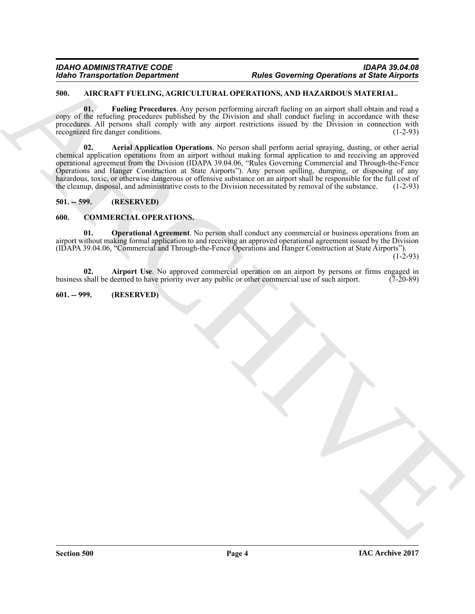#### <span id="page-3-4"></span><span id="page-3-0"></span>**500. AIRCRAFT FUELING, AGRICULTURAL OPERATIONS, AND HAZARDOUS MATERIAL.**

<span id="page-3-6"></span><span id="page-3-5"></span>**01. Fueling Procedures**. Any person performing aircraft fueling on an airport shall obtain and read a copy of the refueling procedures published by the Division and shall conduct fueling in accordance with these procedures. All persons shall comply with any airport restrictions issued by the Division in connection with recognized fire danger conditions. (1-2-93)

Kohno Transportation Department<br>
SUM CANTER UPLE UNE OPERATIONS AND HEATER CONTROL SUPERVIEWS CONTROL TO THE CONTROL SUPERVIEWS CONTROL SUPERVIEWS ARE CONTROL TO THE CONTROL SUPERVIEWS CONTROL TO THE CONTROL SUPERVIEWS C **02. Aerial Application Operations**. No person shall perform aerial spraying, dusting, or other aerial chemical application operations from an airport without making formal application to and receiving an approved operational agreement from the Division (IDAPA 39.04.06, "Rules Governing Commercial and Through-the-Fence Operations and Hanger Construction at State Airports"). Any person spilling, dumping, or disposing of any hazardous, toxic, or otherwise dangerous or offensive substance on an airport shall be responsible for the full cost of the cleanup, disposal, and administrative costs to the Division necessitated by removal of the substan the cleanup, disposal, and administrative costs to the Division necessitated by removal of the substance.

#### <span id="page-3-1"></span>**501. -- 599. (RESERVED)**

#### <span id="page-3-7"></span><span id="page-3-2"></span>**600. COMMERCIAL OPERATIONS.**

<span id="page-3-9"></span>**01. Operational Agreement**. No person shall conduct any commercial or business operations from an airport without making formal application to and receiving an approved operational agreement issued by the Division (IDAPA 39.04.06, "Commercial and Through-the-Fence Operations and Hanger Construction at State Airports").

 $(1-2-93)$ 

<span id="page-3-8"></span>**02. Airport Use**. No approved commercial operation on an airport by persons or firms engaged in shall be deemed to have priority over any public or other commercial use of such airport. (7-20-89) business shall be deemed to have priority over any public or other commercial use of such airport.

#### <span id="page-3-3"></span>**601. -- 999. (RESERVED)**